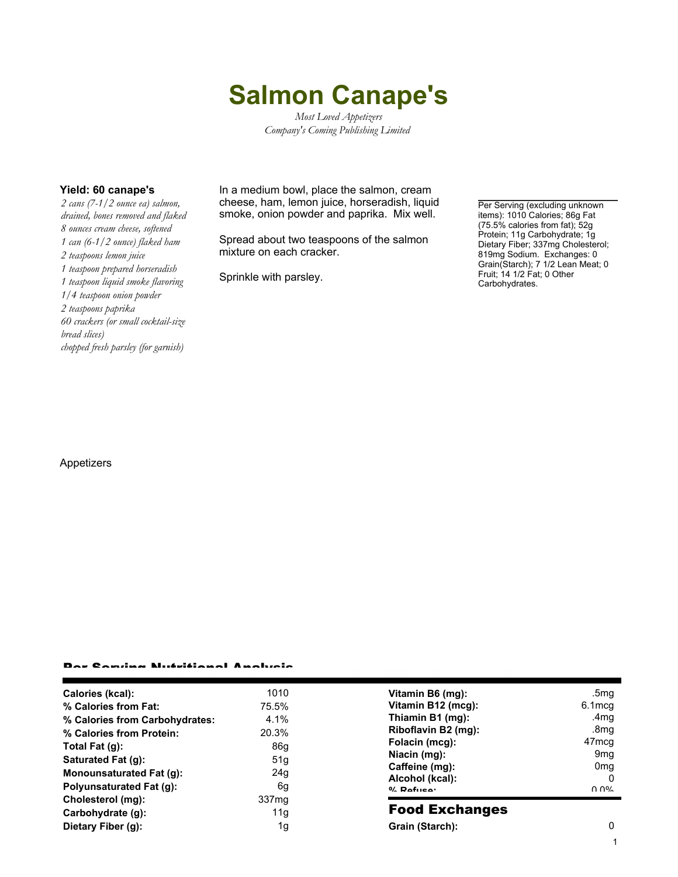# **Salmon Canape's**

*Most Loved Appetizers Company's Coming Publishing Limited*

*2 cans (7-1/2 ounce ea) salmon, drained, bones removed and flaked 8 ounces cream cheese, softened 1 can (6-1/2 ounce) flaked ham 2 teaspoons lemon juice 1 teaspoon prepared horseradish 1 teaspoon liquid smoke flavoring 1/4 teaspoon onion powder 2 teaspoons paprika 60 crackers (or small cocktail-size bread slices) chopped fresh parsley (for garnish)*

**Yield: 60 canape's** In a medium bowl, place the salmon, cream cheese, ham, lemon juice, horseradish, liquid smoke, onion powder and paprika. Mix well.

> Spread about two teaspoons of the salmon mixture on each cracker.

Sprinkle with parsley.

Per Serving (excluding unknown items): 1010 Calories; 86g Fat (75.5% calories from fat); 52g Protein; 11g Carbohydrate; 1g Dietary Fiber; 337mg Cholesterol; 819mg Sodium. Exchanges: 0 Grain(Starch); 7 1/2 Lean Meat; 0 Fruit; 14 1/2 Fat; 0 Other Carbohydrates.

#### Appetizers

#### Per Serving Nutritional Analysis

| Calories (kcal):               | 1010              | Vitan                         |
|--------------------------------|-------------------|-------------------------------|
| % Calories from Fat:           | 75.5%             | Vitan                         |
| % Calories from Carbohydrates: | 4.1%              | Thiar                         |
| % Calories from Protein:       | 20.3%             | <b>Ribo</b>                   |
| Total Fat (g):                 | 86q               | Folac                         |
| Saturated Fat (g):             | 51q               | Niaci                         |
| Monounsaturated Fat (g):       | 24q               | Caffe                         |
| Polyunsaturated Fat (g):       | 6g                | Alcol<br>$0/2$ D <sub>o</sub> |
| Cholesterol (mg):              | 337 <sub>mq</sub> |                               |
| Carbohydrate (q):              | 11q               | Foc                           |
| Dietary Fiber (g):             | 1g                | Grair                         |

| Vitamin B6 (mg):    | .5mg              |
|---------------------|-------------------|
| Vitamin B12 (mcg):  | 6.1mcg            |
| Thiamin B1 (mg):    | .4mq              |
| Riboflavin B2 (mg): | .8mg              |
| Folacin (mcg):      | 47 <sub>mcg</sub> |
| Niacin (mg):        | 9 <sub>mq</sub>   |
| Caffeine (mg):      | 0 <sub>mq</sub>   |
| Alcohol (kcal):     |                   |
| $0/$ Dofuson        | ስ ሰዐረ             |
|                     |                   |

### d Exchanges

**Grain (Starch):** 0 1